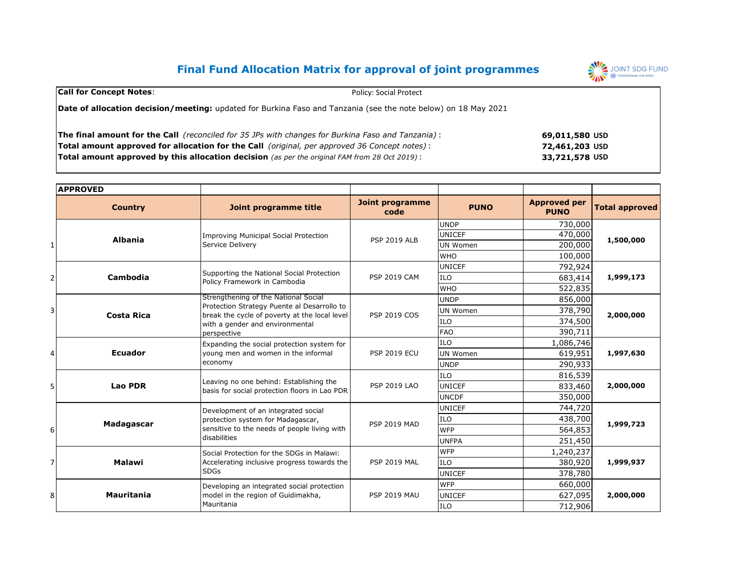# **Final Fund Allocation Matrix for approval of joint programmes**



| <b>Call for Concept Notes:</b>                                                                                        | <b>Policy: Social Protect</b> |  |  |  |
|-----------------------------------------------------------------------------------------------------------------------|-------------------------------|--|--|--|
| <b>Date of allocation decision/meeting:</b> updated for Burkina Faso and Tanzania (see the note below) on 18 May 2021 |                               |  |  |  |
| <b>The final amount for the Call</b> (reconciled for 35 JPs with changes for Burkina Faso and Tanzania):              | 69,011,580 USD                |  |  |  |
| <b>Total amount approved for allocation for the Call</b> (original, per approved 36 Concept notes):                   | 72,461,203 USD                |  |  |  |
| <b>Total amount approved by this allocation decision</b> (as per the original FAM from 28 Oct 2019):                  | 33,721,578 USD                |  |  |  |

|   | <b>APPROVED</b>   |                                                                                                                                                |                                |                 |                                    |                       |
|---|-------------------|------------------------------------------------------------------------------------------------------------------------------------------------|--------------------------------|-----------------|------------------------------------|-----------------------|
|   | <b>Country</b>    | Joint programme title                                                                                                                          | <b>Joint programme</b><br>code | <b>PUNO</b>     | <b>Approved per</b><br><b>PUNO</b> | <b>Total approved</b> |
|   |                   |                                                                                                                                                |                                | <b>UNDP</b>     | 730,000                            | 1,500,000             |
|   | <b>Albania</b>    | <b>Improving Municipal Social Protection</b><br>Service Delivery                                                                               | <b>PSP 2019 ALB</b>            | <b>UNICEF</b>   | 470,000                            |                       |
|   |                   |                                                                                                                                                |                                | UN Women        | 200,000                            |                       |
|   |                   |                                                                                                                                                |                                | <b>WHO</b>      | 100,000                            |                       |
|   |                   | Supporting the National Social Protection                                                                                                      |                                | <b>UNICEF</b>   | 792,924                            |                       |
|   | Cambodia          | Policy Framework in Cambodia                                                                                                                   | <b>PSP 2019 CAM</b>            | <b>ILO</b>      | 683,414                            | 1,999,173             |
|   |                   |                                                                                                                                                |                                | <b>WHO</b>      | 522,835                            |                       |
|   |                   | Strengthening of the National Social                                                                                                           |                                | <b>UNDP</b>     | 856,000                            | 2,000,000             |
| 3 | <b>Costa Rica</b> | Protection Strategy Puente al Desarrollo to<br>break the cycle of poverty at the local level<br>with a gender and environmental<br>perspective | <b>PSP 2019 COS</b>            | UN Women        | 378,790                            |                       |
|   |                   |                                                                                                                                                |                                | <b>ILO</b>      | 374,500                            |                       |
|   |                   |                                                                                                                                                |                                | <b>FAO</b>      | 390,711                            |                       |
|   |                   | Expanding the social protection system for<br>young men and women in the informal<br>economy                                                   | <b>PSP 2019 ECU</b>            | <b>ILO</b>      | 1,086,746                          | 1,997,630             |
|   | <b>Ecuador</b>    |                                                                                                                                                |                                | <b>UN Women</b> | 619,951                            |                       |
|   |                   |                                                                                                                                                |                                | <b>UNDP</b>     | 290,933                            |                       |
|   |                   | Leaving no one behind: Establishing the<br>basis for social protection floors in Lao PDR                                                       | <b>PSP 2019 LAO</b>            | <b>ILO</b>      | 816,539                            | 2,000,000             |
|   | <b>Lao PDR</b>    |                                                                                                                                                |                                | <b>UNICEF</b>   | 833,460                            |                       |
|   |                   |                                                                                                                                                |                                | <b>UNCDF</b>    | 350,000                            |                       |
|   |                   | Development of an integrated social<br>protection system for Madagascar,<br>sensitive to the needs of people living with<br>disabilities       | <b>PSP 2019 MAD</b>            | <b>UNICEF</b>   | 744,720                            | 1,999,723             |
|   | Madagascar        |                                                                                                                                                |                                | <b>ILO</b>      | 438,700                            |                       |
| 6 |                   |                                                                                                                                                |                                | <b>WFP</b>      | 564,853                            |                       |
|   |                   |                                                                                                                                                |                                | <b>UNFPA</b>    | 251,450                            |                       |
|   |                   | Social Protection for the SDGs in Malawi:                                                                                                      | <b>PSP 2019 MAL</b>            | <b>WFP</b>      | 1,240,237                          | 1,999,937             |
|   | Malawi            | Accelerating inclusive progress towards the<br><b>SDGs</b>                                                                                     |                                | <b>ILO</b>      | 380,920                            |                       |
|   |                   |                                                                                                                                                |                                | <b>UNICEF</b>   | 378,780                            |                       |
|   | <b>Mauritania</b> | Developing an integrated social protection<br>model in the region of Guidimakha,<br>Mauritania                                                 | <b>PSP 2019 MAU</b>            | <b>WFP</b>      | 660,000                            |                       |
| 8 |                   |                                                                                                                                                |                                | <b>UNICEF</b>   | 627,095                            | 2,000,000             |
|   |                   |                                                                                                                                                |                                | <b>ILO</b>      | 712,906                            |                       |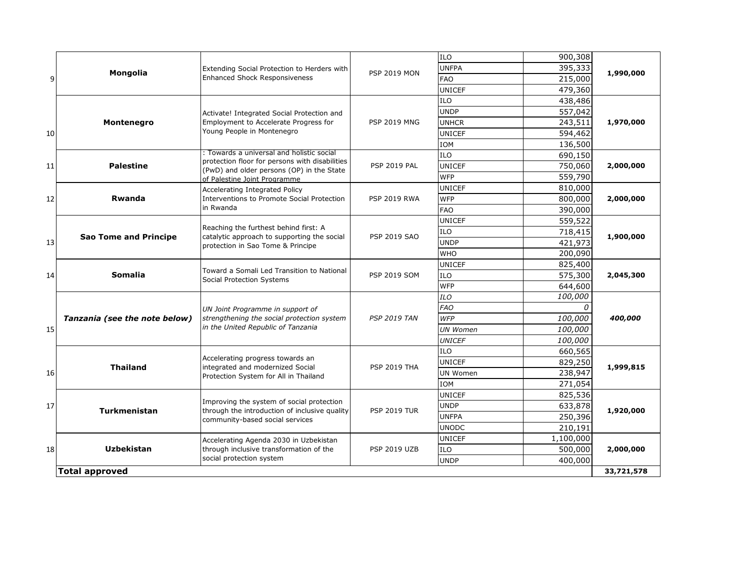|                                     |                               |                                                                                                                               |                     | ILO             | 900,308   |           |  |
|-------------------------------------|-------------------------------|-------------------------------------------------------------------------------------------------------------------------------|---------------------|-----------------|-----------|-----------|--|
| 9                                   | Mongolia                      | Extending Social Protection to Herders with<br><b>Enhanced Shock Responsiveness</b>                                           | <b>PSP 2019 MON</b> | <b>UNFPA</b>    | 395,333   | 1,990,000 |  |
|                                     |                               |                                                                                                                               |                     | <b>FAO</b>      | 215,000   |           |  |
|                                     |                               |                                                                                                                               |                     | <b>UNICEF</b>   | 479,360   |           |  |
|                                     |                               |                                                                                                                               |                     | ILO             | 438,486   |           |  |
|                                     |                               | Activate! Integrated Social Protection and                                                                                    |                     | <b>UNDP</b>     | 557,042   | 1,970,000 |  |
|                                     | Montenegro                    | Employment to Accelerate Progress for                                                                                         | <b>PSP 2019 MNG</b> | <b>UNHCR</b>    | 243,511   |           |  |
| 10                                  |                               | Young People in Montenegro                                                                                                    |                     | <b>UNICEF</b>   | 594,462   |           |  |
|                                     |                               |                                                                                                                               |                     | <b>IOM</b>      | 136,500   |           |  |
|                                     |                               | : Towards a universal and holistic social                                                                                     |                     | <b>ILO</b>      | 690,150   |           |  |
| 11                                  | <b>Palestine</b>              | protection floor for persons with disabilities<br>(PwD) and older persons (OP) in the State                                   | <b>PSP 2019 PAL</b> | <b>UNICEF</b>   | 750,060   | 2,000,000 |  |
|                                     |                               | of Palestine Joint Programme                                                                                                  |                     | <b>WFP</b>      | 559,790   |           |  |
|                                     |                               | Accelerating Integrated Policy                                                                                                |                     | <b>UNICEF</b>   | 810,000   |           |  |
| 12                                  | Rwanda                        | Interventions to Promote Social Protection                                                                                    | <b>PSP 2019 RWA</b> | <b>WFP</b>      | 800,000   | 2,000,000 |  |
|                                     |                               | in Rwanda                                                                                                                     |                     | <b>FAO</b>      | 390,000   | 1,900,000 |  |
|                                     |                               |                                                                                                                               |                     | <b>UNICEF</b>   | 559,522   |           |  |
|                                     |                               | Reaching the furthest behind first: A<br>catalytic approach to supporting the social                                          | <b>PSP 2019 SAO</b> | <b>ILO</b>      | 718,415   |           |  |
| 13                                  | <b>Sao Tome and Principe</b>  | protection in Sao Tome & Principe                                                                                             |                     | <b>UNDP</b>     | 421,973   |           |  |
|                                     | <b>Somalia</b>                | Toward a Somali Led Transition to National<br>Social Protection Systems                                                       | <b>PSP 2019 SOM</b> | <b>WHO</b>      | 200,090   | 2,045,300 |  |
|                                     |                               |                                                                                                                               |                     | <b>UNICEF</b>   | 825,400   |           |  |
| 14                                  |                               |                                                                                                                               |                     | <b>ILO</b>      | 575,300   |           |  |
|                                     | Tanzania (see the note below) | UN Joint Programme in support of<br>strengthening the social protection system<br>in the United Republic of Tanzania          | <b>PSP 2019 TAN</b> | <b>WFP</b>      | 644,600   | 400,000   |  |
|                                     |                               |                                                                                                                               |                     | ILO             | 100,000   |           |  |
|                                     |                               |                                                                                                                               |                     | <b>FAO</b>      | 0         |           |  |
|                                     |                               |                                                                                                                               |                     | <b>WFP</b>      | 100,000   |           |  |
| 15                                  |                               |                                                                                                                               |                     | <b>UN Women</b> | 100,000   |           |  |
|                                     |                               | Accelerating progress towards an<br>integrated and modernized Social<br>Protection System for All in Thailand                 | <b>PSP 2019 THA</b> | <b>UNICEF</b>   | 100,000   | 1,999,815 |  |
|                                     |                               |                                                                                                                               |                     | <b>ILO</b>      | 660,565   |           |  |
|                                     | <b>Thailand</b>               |                                                                                                                               |                     | <b>UNICEF</b>   | 829,250   |           |  |
| 16                                  |                               |                                                                                                                               |                     | <b>UN Women</b> | 238,947   |           |  |
|                                     | <b>Turkmenistan</b>           | Improving the system of social protection<br>through the introduction of inclusive quality<br>community-based social services |                     | <b>IOM</b>      | 271,054   | 1,920,000 |  |
|                                     |                               |                                                                                                                               |                     | <b>UNICEF</b>   | 825,536   |           |  |
| 17                                  |                               |                                                                                                                               | <b>PSP 2019 TUR</b> | <b>UNDP</b>     | 633,878   |           |  |
|                                     |                               |                                                                                                                               |                     | <b>UNFPA</b>    | 250,396   |           |  |
|                                     | <b>Uzbekistan</b>             | Accelerating Agenda 2030 in Uzbekistan<br>through inclusive transformation of the                                             | <b>PSP 2019 UZB</b> | <b>UNODC</b>    | 210,191   |           |  |
|                                     |                               |                                                                                                                               |                     | <b>UNICEF</b>   | 1,100,000 |           |  |
| 18                                  |                               |                                                                                                                               |                     | <b>ILO</b>      | 500,000   | 2,000,000 |  |
|                                     |                               | social protection system                                                                                                      |                     | <b>UNDP</b>     | 400,000   |           |  |
| <b>Total approved</b><br>33,721,578 |                               |                                                                                                                               |                     |                 |           |           |  |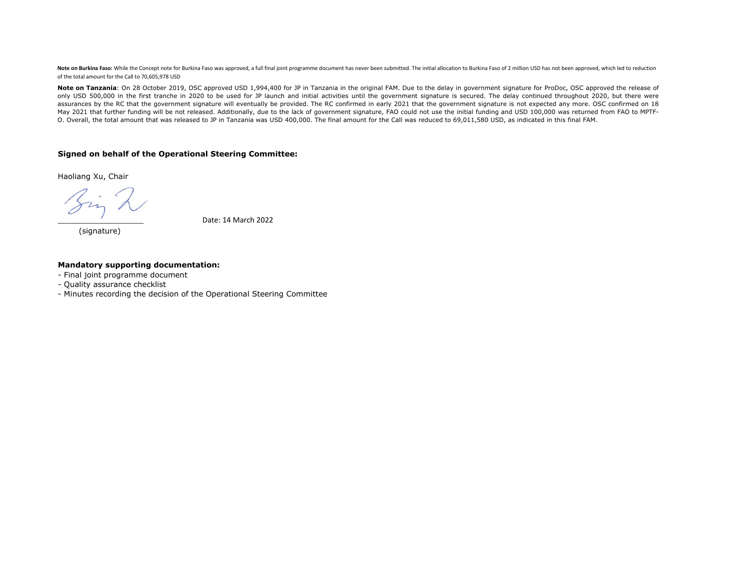Note on Burkina Faso: While the Concept note for Burkina Faso was approved, a full final joint programme document has never been submitted. The initial allocation to Burkina Faso of 2 million USD has not been approved, whi of the total amount for the Call to 70,605,978 USD

Note on Tanzania: On 28 October 2019, OSC approved USD 1,994,400 for JP in Tanzania in the original FAM. Due to the delay in government signature for ProDoc, OSC approved the release of only USD 500,000 in the first tranche in 2020 to be used for JP launch and initial activities until the government signature is secured. The delay continued throughout 2020, but there were assurances by the RC that the government signature will eventually be provided. The RC confirmed in early 2021 that the government signature is not expected any more. OSC confirmed on 18 May 2021 that further funding will be not released. Additionally, due to the lack of government signature, FAO could not use the initial funding and USD 100,000 was returned from FAO to MPTF-O. Overall, the total amount that was released to JP in Tanzania was USD 400,000. The final amount for the Call was reduced to 69,011,580 USD, as indicated in this final FAM.

#### **Signed on behalf of the Operational Steering Committee:**

Haoliang Xu, Chair

(signature)

\_\_\_\_\_\_\_\_\_\_\_\_\_\_\_\_\_\_ Date: 14 March 2022

#### **Mandatory supporting documentation:**

- Final joint programme document
- Quality assurance checklist
- Minutes recording the decision of the Operational Steering Committee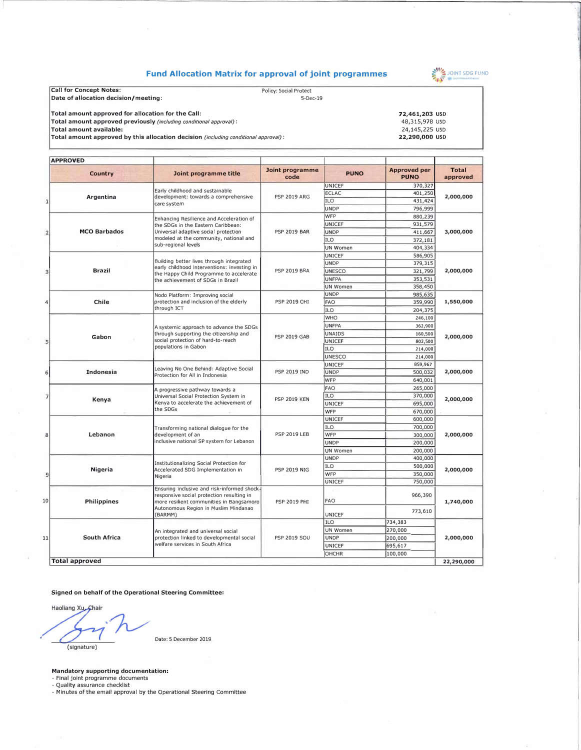### **Fund Allocation Matrix for approval of joint programmes**



| Call for Concept Notes:                                                             | <b>Policy: Social Protect</b> |                |
|-------------------------------------------------------------------------------------|-------------------------------|----------------|
| Date of allocation decision/meeting:                                                | $5-Dec-19$                    |                |
| Total amount approved for allocation for the Call:                                  |                               | 72,461,203 USD |
| Total amount approved previously (including conditional approval):                  |                               | 48,315,978 USD |
| Total amount available:                                                             |                               | 24,145,225 USD |
| Total amount approved by this allocation decision (including conditional approval): |                               | 22,290,000 USD |
|                                                                                     |                               |                |

|  | <b>APPROVED</b>       |                                                                                                                                                                                                     |                                            |               |                                    |                          |
|--|-----------------------|-----------------------------------------------------------------------------------------------------------------------------------------------------------------------------------------------------|--------------------------------------------|---------------|------------------------------------|--------------------------|
|  | <b>Country</b>        | Joint programme title                                                                                                                                                                               | Joint programme<br>code                    | <b>PUNO</b>   | <b>Approved per</b><br><b>PUNO</b> | <b>Total</b><br>approved |
|  |                       | Early childhood and sustainable                                                                                                                                                                     |                                            | <b>UNICEF</b> | 370,327                            |                          |
|  | Argentina             | development: towards a comprehensive                                                                                                                                                                | <b>PSP 2019 ARG</b>                        | <b>ECLAC</b>  | 401,250                            | 2,000,000                |
|  |                       | care system                                                                                                                                                                                         |                                            | ILO           | 431,424                            |                          |
|  |                       |                                                                                                                                                                                                     |                                            | <b>UNDP</b>   | 796,999                            |                          |
|  |                       | Enhancing Resilience and Acceleration of                                                                                                                                                            |                                            | WFP           | 880,239                            |                          |
|  |                       | the SDGs in the Eastern Caribbean:<br>Universal adaptive social protection                                                                                                                          | <b>PSP 2019 BAR</b>                        | <b>UNICEF</b> | 931,579                            |                          |
|  | <b>MCO Barbados</b>   |                                                                                                                                                                                                     |                                            | <b>UNDP</b>   | 411,667                            | 3,000,000                |
|  |                       | modeled at the community, national and<br>sub-regional levels                                                                                                                                       |                                            | ILO           | 372,181                            |                          |
|  |                       |                                                                                                                                                                                                     |                                            | UN Women      | 404,334                            |                          |
|  |                       |                                                                                                                                                                                                     |                                            | UNICEF        | 586,905                            |                          |
|  |                       | Building better lives through integrated<br>early childhood interventions: investing in                                                                                                             |                                            | <b>UNDP</b>   | 379,315                            |                          |
|  | <b>Brazil</b>         | the Happy Child Programme to accelerate                                                                                                                                                             | <b>PSP 2019 BRA</b>                        | <b>UNESCO</b> | 321,799                            | 2,000,000                |
|  |                       | the achievement of SDGs in Brazil                                                                                                                                                                   |                                            | <b>UNFPA</b>  | 353,531                            |                          |
|  |                       |                                                                                                                                                                                                     |                                            | UN Women      | 358,450                            |                          |
|  |                       | Nodo Platform: Improving social                                                                                                                                                                     |                                            | <b>UNDP</b>   | 985,635                            |                          |
|  | Chile                 | protection and inclusion of the elderly                                                                                                                                                             | <b>PSP 2019 CHI</b>                        | <b>FAO</b>    | 359,990                            | 1,550,000                |
|  |                       | through ICT                                                                                                                                                                                         |                                            | ILO           | 204,375                            |                          |
|  |                       |                                                                                                                                                                                                     |                                            | WHO           | 246,100                            |                          |
|  |                       | A systemic approach to advance the SDGs                                                                                                                                                             |                                            | <b>UNFPA</b>  | 362,900                            |                          |
|  |                       | through supporting the citizenship and                                                                                                                                                              |                                            | UNAIDS        | 160,500                            |                          |
|  | Gabon                 | social protection of hard-to-reach<br>populations in Gabon                                                                                                                                          | <b>PSP 2019 GAB</b>                        | UNICEF        | 802,500                            | 2,000,000                |
|  |                       |                                                                                                                                                                                                     |                                            | <b>ILO</b>    | 214,000                            |                          |
|  |                       |                                                                                                                                                                                                     |                                            | <b>UNESCO</b> | 214,000                            |                          |
|  |                       | Leaving No One Behind: Adaptive Social<br>Protection for All in Indonesia                                                                                                                           |                                            | UNICEF        | 859,967                            | 2,000,000                |
|  | Indonesia             |                                                                                                                                                                                                     | <b>PSP 2019 IND</b>                        | <b>UNDP</b>   | 500,032                            |                          |
|  |                       |                                                                                                                                                                                                     |                                            | WFP           | 640,001                            |                          |
|  |                       |                                                                                                                                                                                                     | <b>PSP 2019 KEN</b>                        | <b>FAO</b>    | 265,000                            | 2,000,000                |
|  |                       | A progressive pathway towards a<br>Universal Social Protection System in<br>Kenya to accelerate the achievement of<br>the SDGs                                                                      |                                            | ILO           | 370,000                            |                          |
|  | Kenya                 |                                                                                                                                                                                                     |                                            | UNICEF        | 695,000                            |                          |
|  |                       |                                                                                                                                                                                                     |                                            | WFP           | 670,000                            |                          |
|  |                       |                                                                                                                                                                                                     |                                            | <b>UNICEF</b> | 600,000                            |                          |
|  |                       | Transforming national dialogue for the<br>development of an<br>inclusive national SP system for Lebanon<br>Institutionalizing Social Protection for<br>Accelerated SDG Implementation in<br>Nigeria | <b>PSP 2019 LEB</b><br><b>PSP 2019 NIG</b> | ILO           | 700,000                            | 2,000,000<br>2,000,000   |
|  | Lebanon               |                                                                                                                                                                                                     |                                            | WFP           | 300,000                            |                          |
|  |                       |                                                                                                                                                                                                     |                                            | <b>UNDP</b>   | 200,000                            |                          |
|  |                       |                                                                                                                                                                                                     |                                            | UN Women      | 200,000                            |                          |
|  |                       |                                                                                                                                                                                                     |                                            | <b>UNDP</b>   | 400,000                            |                          |
|  |                       |                                                                                                                                                                                                     |                                            | ILO           | 500,000                            |                          |
|  | <b>Nigeria</b>        |                                                                                                                                                                                                     |                                            | WFP           | 350,000                            |                          |
|  |                       |                                                                                                                                                                                                     |                                            | UNICEF        | 750,000                            |                          |
|  |                       | Ensuring inclusive and risk-informed shock-                                                                                                                                                         |                                            |               |                                    |                          |
|  | <b>Philippines</b>    | responsive social protection resulting in                                                                                                                                                           |                                            |               | 966,390                            | 1,740,000                |
|  |                       | more resilient communities in Bangsamoro<br>Autonomous Region in Muslim Mindanao<br>(BARMM)                                                                                                         | <b>PSP 2019 PHI</b>                        | <b>FAO</b>    |                                    |                          |
|  |                       |                                                                                                                                                                                                     |                                            | UNICEF        | 773,610                            |                          |
|  |                       | An integrated and universal social<br>protection linked to developmental social<br>welfare services in South Africa                                                                                 | <b>PSP 2019 SOU</b>                        | ILO           | 734,383                            |                          |
|  | South Africa          |                                                                                                                                                                                                     |                                            | UN Women      | 270,000                            |                          |
|  |                       |                                                                                                                                                                                                     |                                            | <b>UNDP</b>   | 200,000                            | 2,000,000                |
|  |                       |                                                                                                                                                                                                     |                                            | <b>UNICEF</b> | 695,617                            |                          |
|  |                       |                                                                                                                                                                                                     | <b>OHCHR</b>                               | 100,000       |                                    |                          |
|  | <b>Total approved</b> |                                                                                                                                                                                                     |                                            |               |                                    | 22,290,000               |
|  |                       |                                                                                                                                                                                                     |                                            |               |                                    |                          |

**Signed on behalf of the Operational Steering Committee:** 

Haoliang Xu, Chair (signature)

Date: 5 December 2019

**Mandatory supporting documentation:**<br>- Final joint programme documents<br>- Quality assurance checklist<br>- Minutes of the email approval by the Operational Steering Committee